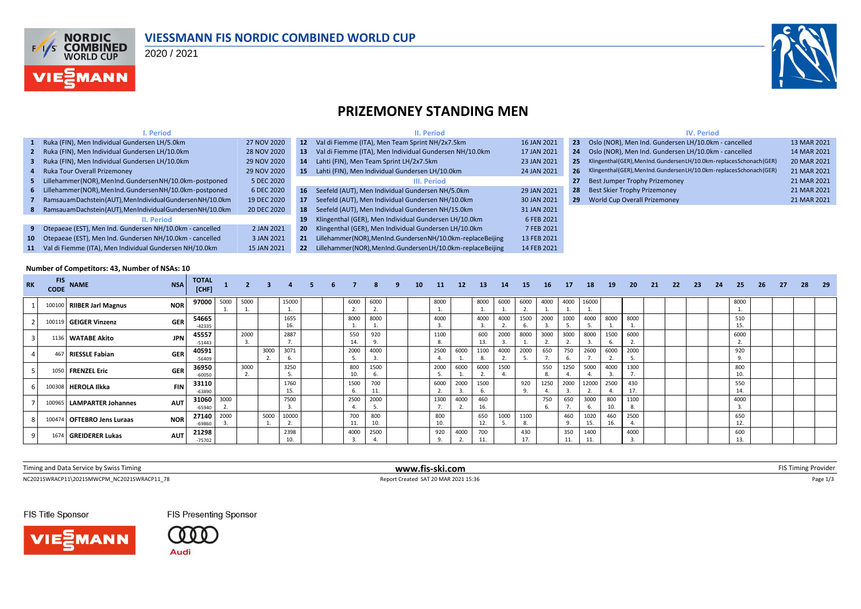

### **VIESSMANN FIS NORDIC COMBINED WORLD CUP**

### 2020 / 2021



## **PRIZEMONEY STANDING MEN**

|                                                                           | <b>Period</b>                                                  |                 |                                                                  | II. Period                                                     |             |                 | <b>IV. Period</b>                                                       |             |
|---------------------------------------------------------------------------|----------------------------------------------------------------|-----------------|------------------------------------------------------------------|----------------------------------------------------------------|-------------|-----------------|-------------------------------------------------------------------------|-------------|
|                                                                           | 1 Ruka (FIN), Men Individual Gundersen LH/5.0km                | 27 NOV 2020     | 12 <sup>7</sup>                                                  | Val di Fiemme (ITA), Men Team Sprint NH/2x7.5km                | 16 JAN 2021 | 23 <sup>°</sup> | Oslo (NOR), Men Ind. Gundersen LH/10.0km - cancelled                    | 13 MAR 2021 |
|                                                                           | 2 Ruka (FIN), Men Individual Gundersen LH/10.0km               | 28 NOV 2020     | 13                                                               | Val di Fiemme (ITA), Men Individual Gundersen NH/10.0km        | 17 JAN 2021 | 24              | Oslo (NOR), Men Ind. Gundersen LH/10.0km - cancelled                    | 14 MAR 2021 |
|                                                                           | 3 Ruka (FIN), Men Individual Gundersen LH/10.0km               | 29 NOV 2020     | 14                                                               | Lahti (FIN), Men Team Sprint LH/2x7.5km                        | 23 JAN 2021 | 25 <sup>5</sup> | Klingenthal(GER), MenInd. GundersenLH/10.0km-replacesSchonach(GER)      | 20 MAR 2021 |
|                                                                           | 4 Ruka Tour Overall Prizemonev                                 | 29 NOV 2020     | 15.                                                              | Lahti (FIN), Men Individual Gundersen LH/10.0km                | 24 JAN 2021 |                 | 26 Klingenthal (GER), MenInd. GundersenLH/10.0km-replacesSchonach (GER) | 21 MAR 2021 |
|                                                                           | 5 Lillehammer (NOR), MenInd. Gundersen NH/10.0km - postponed   | 5 DEC 2020      |                                                                  | III. Period                                                    |             |                 | Best Jumper Trophy Prizemoney                                           | 21 MAR 2021 |
|                                                                           | 6 Lillehammer (NOR), MenInd. Gundersen NH/10.0km - postponed   | 6 DEC 2020      | 16 <sup>1</sup>                                                  | Seefeld (AUT). Men Individual Gundersen NH/5.0km               | 29 JAN 2021 | 28              | Best Skier Trophy Prizemoney                                            | 21 MAR 2021 |
|                                                                           | Ramsauam Dachstein (AUT), Men Individual Gundersen NH/10.0km   | 19 DEC 2020     | 17                                                               | Seefeld (AUT). Men Individual Gundersen NH/10.0km              | 30 JAN 2021 | 29              | World Cup Overall Prizemoney                                            | 21 MAR 2021 |
|                                                                           | 8 Ramsauam Dachstein (AUT), Men Individual Gundersen NH/10.0km | 20 DEC 2020     | 18                                                               | Seefeld (AUT), Men Individual Gundersen NH/15.0km              | 31 JAN 2021 |                 |                                                                         |             |
|                                                                           | II. Period                                                     |                 | 19                                                               | Klingenthal (GER), Men Individual Gundersen LH/10.0km          | 6 FEB 2021  |                 |                                                                         |             |
|                                                                           | 9 Otepaeae (EST), Men Ind. Gundersen NH/10.0km - cancelled     | 2 JAN 2021      | 20                                                               | Klingenthal (GER), Men Individual Gundersen LH/10.0km          | 7 FEB 2021  |                 |                                                                         |             |
|                                                                           | 10 Otepaeae (EST), Men Ind. Gundersen NH/10.0km - cancelled    | 3 JAN 2021      | 21                                                               | Lillehammer (NOR), MenInd. Gundersen NH/10.0km-replace Beijing | 13 FEB 2021 |                 |                                                                         |             |
| 11 Val di Fiemme (ITA). Men Individual Gundersen NH/10.0km<br>15 JAN 2021 |                                                                | 22 <sub>2</sub> | Lillehammer (NOR), MenInd. Gundersen LH/10.0km - replace Beijing | 14 FEB 2021                                                    |             |                 |                                                                         |             |

#### **Number of Competitors: 43, Number of NSAs: 10**

| <b>RK</b> | <b>FIS</b><br><b>CODE</b> | <b>NAME</b>                 | <b>NSA</b> | <b>TOTAL</b><br>[CHF] |      | $\overline{2}$ | $\overline{\mathbf{3}}$ |             |  |            | 8          | -9 | <b>10</b> | <b>11</b>  | $12 \overline{ }$ | <b>13</b>  | 14   | 15         | 16   | <b>17</b>  | 18          | 19         | 20         | -21 | 22 | 23 | 24 | 25         | -26 | 27 | 28 | - 29 |
|-----------|---------------------------|-----------------------------|------------|-----------------------|------|----------------|-------------------------|-------------|--|------------|------------|----|-----------|------------|-------------------|------------|------|------------|------|------------|-------------|------------|------------|-----|----|----|----|------------|-----|----|----|------|
|           |                           | 100100 RIIBER Jarl Magnus   | <b>NOR</b> | 97000                 | 5000 | 5000           |                         | 15000       |  | 6000<br>z. | 6000<br>z. |    |           | 8000       |                   | 8000       | 6000 | 6000       | 4000 | 4000       | 16000       |            |            |     |    |    |    | 8000       |     |    |    |      |
|           |                           | 100119 GEIGER Vinzenz       | <b>GER</b> | 54665<br>$-42335$     |      |                |                         | 1655<br>16. |  | 8000       | 8000       |    |           | 4000       |                   | 4000       | 4000 | 1500       | 2000 | 1000       | 4000        | 8000       | 8000       |     |    |    |    | 510<br>15. |     |    |    |      |
|           |                           | 1136 WATABE Akito           | <b>JPN</b> | 45557<br>$-51443$     |      | 2000<br>3.     |                         | 2887        |  | 550<br>14. | 920<br>9   |    |           | 1100       |                   | 600<br>13. | 2000 | 8000       | 3000 | 3000       | 8000        | 1500<br>ь. | 6000       |     |    |    |    | 6000       |     |    |    |      |
|           |                           | 467 RIESSLE Fabian          | <b>GER</b> | 40591<br>$-56409$     |      |                | 3000                    | 3071<br>6.  |  | 2000       | 4000       |    |           | 2500       | 6000              | 1100       | 4000 | 2000       | 650  | 750        | 2600        | 6000       | 2000       |     |    |    |    | 920        |     |    |    |      |
|           |                           | 1050 FRENZEL Eric           | <b>GER</b> | 36950<br>$-60050$     |      | 3000           |                         | 3250        |  | 800<br>10. | 1500<br>6. |    |           | 2000       | 6000              | 6000       | 1500 |            | 550  | 1250       | 5000        | 4000       | 1300       |     |    |    |    | 800<br>10. |     |    |    |      |
|           |                           | 100308 HEROLA Ilkka         | <b>FIN</b> | 33110<br>$-63890$     |      |                |                         | 1760<br>15. |  | 1500       | 700<br>11. |    |           | 6000       | 2000              | 1500       |      | 920        | 1250 | 2000       | 12000       | 2500<br>4. | 430<br>17. |     |    |    |    | 550<br>14. |     |    |    |      |
|           |                           | 100965   LAMPARTER Johannes | <b>AUT</b> | 31060<br>$-65940$     | 3000 |                |                         | 7500        |  | 2500       | 2000       |    |           | 1300       | 4000              | 460<br>16. |      |            | 750  | 650        | 3000<br>ь.  | 800<br>10. | 1100       |     |    |    |    | 4000       |     |    |    |      |
|           |                           | 100474 OFTEBRO Jens Luraas  | <b>NOR</b> | 27140<br>$-69860$     | 2000 |                | 5000                    | 10000<br>z. |  | 700<br>11. | 800<br>10. |    |           | 800<br>10. |                   | 650<br>12. | 1000 | 1100<br>8. |      | 460        | 1020<br>15. | 460<br>16. | 2500       |     |    |    |    | 650<br>12. |     |    |    |      |
|           |                           | 1674 GREIDERER Lukas        | <b>AUT</b> | 21298<br>$-75702$     |      |                |                         | 2398<br>10. |  | 4000       | 2500       |    |           | 920        | 4000              | 700<br>11. |      | 430<br>17. |      | 350<br>11. | 1400<br>11. |            | 4000       |     |    |    |    | 600<br>13. |     |    |    |      |

Timing and Data Service by Swiss Timing **www.fis-ski.com www.fis-ski.com** FIS Timing Provider

 $\small \textsf{NC2021SWRACP11}\backslash \textsf{20215NWCFM\_NC20215WRACP11\_78} \textcolor{red}{}\textcolor{blue}{Page 1/3}$ 

FIS Title Sponsor





**FIS Presenting Sponsor**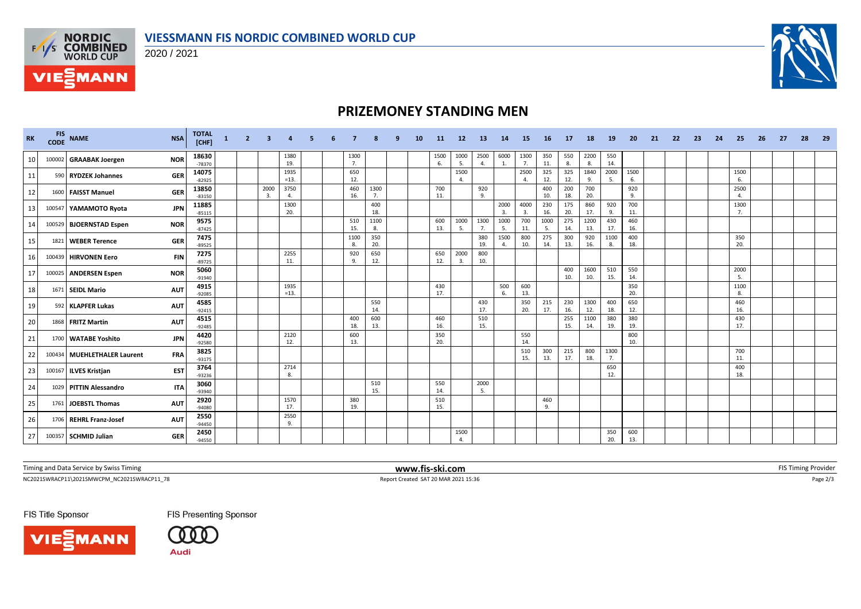



# **PRIZEMONEY STANDING MEN**

| <b>RK</b> | <b>FIS</b><br><b>CODE</b> | <b>NAME</b>                   | <b>NSA</b> | <b>TOTAL</b><br>[CHF] | $\mathbf{1}$ | $\overline{2}$ | -3         |                |  |            |            | <b>10</b> | -11        | <b>12</b>        | -13        | -14                  | -15        | -16        | 17         | -18         | 19          | 20         | 21 | -22 | -23 | -24 | -25                    | -26 | 27 | 28 | -29 |
|-----------|---------------------------|-------------------------------|------------|-----------------------|--------------|----------------|------------|----------------|--|------------|------------|-----------|------------|------------------|------------|----------------------|------------|------------|------------|-------------|-------------|------------|----|-----|-----|-----|------------------------|-----|----|----|-----|
| 10        |                           | 100002 GRAABAK Joergen        | <b>NOR</b> | 18630<br>$-78370$     |              |                |            | 1380<br>19.    |  | 1300<br>7. |            |           | 1500<br>6. | 1000<br>5.       | 2500<br>4. | 6000<br>1.           | 1300<br>7. | 350<br>11. | 550<br>8.  | 2200<br>8.  | 550<br>14.  |            |    |     |     |     |                        |     |    |    |     |
| 11        |                           | 590 RYDZEK Johannes           | <b>GER</b> | 14075<br>$-82925$     |              |                |            | 1935<br>$=13.$ |  | 650<br>12. |            |           |            | 1500<br>$\Delta$ |            |                      | 2500       | 325<br>12. | 325<br>12. | 1840<br>9.  | 2000<br>-5. | 1500<br>6. |    |     |     |     | 1500<br>6.             |     |    |    |     |
| 12        |                           | 1600 FAISST Manuel            | <b>GER</b> | 13850<br>$-83150$     |              |                | 2000<br>3. | 3750<br>4.     |  | 460<br>16. | 1300<br>7. |           | 700<br>11. |                  | 920<br>9.  |                      |            | 400<br>10. | 200<br>18. | 700<br>20.  |             | 920<br>9.  |    |     |     |     | 2500<br>$\overline{4}$ |     |    |    |     |
| 13        | 100547                    | YAMAMOTO Ryota                | <b>JPN</b> | 11885<br>$-85115$     |              |                |            | 1300<br>20.    |  |            | 400<br>18. |           |            |                  |            | 2000<br>3.           | 4000<br>3. | 230<br>16. | 175<br>20. | 860<br>17.  | 920<br>9.   | 700<br>11. |    |     |     |     | 1300<br>7.             |     |    |    |     |
| 14        |                           | 100529 BJOERNSTAD Espen       | <b>NOR</b> | 9575<br>$-87425$      |              |                |            |                |  | 510<br>15. | 1100<br>8. |           | 600<br>13. | 1000<br>-5.      | 1300<br>7. | 1000<br>5.           | 700<br>11. | 1000<br>5. | 275<br>14. | 1200<br>13. | 430<br>17.  | 460<br>16. |    |     |     |     |                        |     |    |    |     |
| 15        | 1821                      | <b>WEBER Terence</b>          | <b>GER</b> | 7475<br>$-89525$      |              |                |            |                |  | 1100<br>8. | 350<br>20. |           |            |                  | 380<br>19. | 1500<br>$\mathbf{4}$ | 800<br>10. | 275<br>14. | 300<br>13. | 920<br>16.  | 1100<br>-8. | 400<br>18. |    |     |     |     | 350<br>20.             |     |    |    |     |
| 16        |                           | 100439 HIRVONEN Eero          | <b>FIN</b> | 7275<br>$-89725$      |              |                |            | 2255<br>11.    |  | 920<br>9.  | 650<br>12. |           | 650<br>12. | 2000<br>3.       | 800<br>10. |                      |            |            |            |             |             |            |    |     |     |     |                        |     |    |    |     |
| 17        |                           | 100025 ANDERSEN Espen         | <b>NOR</b> | 5060<br>$-91940$      |              |                |            |                |  |            |            |           |            |                  |            |                      |            |            | 400<br>10. | 1600<br>10. | 510<br>15.  | 550<br>14. |    |     |     |     | 2000<br>5.             |     |    |    |     |
| 18        |                           | 1671 SEIDL Mario              | <b>AUT</b> | 4915<br>$-92085$      |              |                |            | 1935<br>$=13.$ |  |            |            |           | 430<br>17. |                  |            | 500<br>6.            | 600<br>13. |            |            |             |             | 350<br>20. |    |     |     |     | 1100<br>8.             |     |    |    |     |
| 19        |                           | 592 KLAPFER Lukas             | <b>AUT</b> | 4585<br>$-92415$      |              |                |            |                |  |            | 550<br>14. |           |            |                  | 430<br>17. |                      | 350<br>20. | 215<br>17. | 230<br>16. | 1300<br>12. | 400<br>18.  | 650<br>12. |    |     |     |     | 460<br>16.             |     |    |    |     |
| 20        |                           | 1868 FRITZ Martin             | <b>AUT</b> | 4515<br>$-92485$      |              |                |            |                |  | 400<br>18. | 600<br>13. |           | 460<br>16. |                  | 510<br>15. |                      |            |            | 255<br>15. | 1100<br>14. | 380<br>19.  | 380<br>19. |    |     |     |     | 430<br>17.             |     |    |    |     |
| 21        |                           | 1700 WATABE Yoshito           | <b>JPN</b> | 4420<br>$-92580$      |              |                |            | 2120<br>12.    |  | 600<br>13. |            |           | 350<br>20. |                  |            |                      | 550<br>14. |            |            |             |             | 800<br>10. |    |     |     |     |                        |     |    |    |     |
| 22        |                           | 100434   MUEHLETHALER Laurent | <b>FRA</b> | 3825<br>$-93175$      |              |                |            |                |  |            |            |           |            |                  |            |                      | 510<br>15. | 300<br>13. | 215<br>17. | 800<br>18.  | 1300<br>7.  |            |    |     |     |     | 700<br>11.             |     |    |    |     |
| 23        |                           | 100167 ILVES Kristjan         | <b>EST</b> | 3764<br>-93236        |              |                |            | 2714<br>8.     |  |            |            |           |            |                  |            |                      |            |            |            |             | 650<br>12.  |            |    |     |     |     | 400<br>18.             |     |    |    |     |
| 24        |                           | 1029 PITTIN Alessandro        | <b>ITA</b> | 3060<br>-93940        |              |                |            |                |  |            | 510<br>15. |           | 550<br>14. |                  | 2000<br>5. |                      |            |            |            |             |             |            |    |     |     |     |                        |     |    |    |     |
| 25        |                           | 1761 JOEBSTL Thomas           | <b>AUT</b> | 2920<br>$-94080$      |              |                |            | 1570<br>17.    |  | 380<br>19. |            |           | 510<br>15. |                  |            |                      |            | 460<br>9.  |            |             |             |            |    |     |     |     |                        |     |    |    |     |
| 26        |                           | 1706 REHRL Franz-Josef        | <b>AUT</b> | 2550<br>$-94450$      |              |                |            | 2550<br>9.     |  |            |            |           |            |                  |            |                      |            |            |            |             |             |            |    |     |     |     |                        |     |    |    |     |
| 27        |                           | 100357 SCHMID Julian          | GER        | 2450<br>$-94550$      |              |                |            |                |  |            |            |           |            | 1500             |            |                      |            |            |            |             | 350<br>20.  | 600<br>13. |    |     |     |     |                        |     |    |    |     |

Timing and Data Service by Swiss Timing **www.fis-ski.com www.fis-ski.com** FIS Timing Provider

 ${\small \textsf{NC20215WWRACP11\_78} \begin{pmatrix} \textbf{0.1333} & \textbf{0.1448} \\ \textbf{0.1449} & \textbf{0.1449} & \textbf{0.1449} \\ \textbf{0.149} & \textbf{0.149} & \textbf{0.149} & \textbf{0.149} \\ \textbf{0.149} & \textbf{0.149} & \textbf{0.149} & \textbf{0.149} \\ \textbf{0.149} & \textbf{0.149} &$ 

FIS Title Sponsor





**FIS Presenting Sponsor**